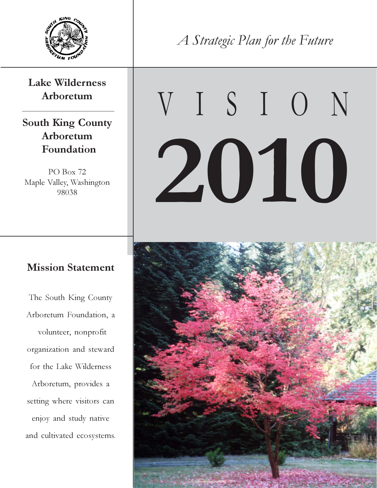

#### Lake Wilderness Arboretum

South King County Arboretum Foundation

PO Box 72 Maple Valley, Washington 98038

#### Mission Statement

The South King County Arboretum Foundation, a volunteer, nonprofit organization and steward for the Lake Wilderness Arboretum, provides a setting where visitors can enjoy and study native and cultivated ecosystems. A Strategic Plan for the Future

# V I S I O N 2010

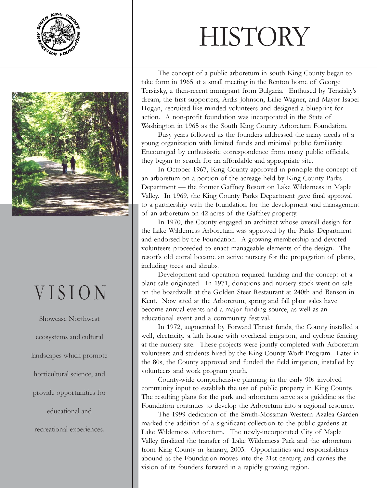



### V I S I O N

Showcase Northwest ecosystems and cultural landscapes which promote horticultural science, and provide opportunities for educational and recreational experiences.

# **HISTORY**

The concept of a public arboretum in south King County began to take form in 1965 at a small meeting in the Renton home of George Tersiisky, a then-recent immigrant from Bulgaria. Enthused by Tersiisky's dream, the first supporters, Ardis Johnson, Lillie Wagner, and Mayor Isabel Hogan, recruited like-minded volunteers and designed a blueprint for action. A non-profit foundation was incorporated in the State of Washington in 1965 as the South King County Arboretum Foundation.

Busy years followed as the founders addressed the many needs of a young organization with limited funds and minimal public familiarity. Encouraged by enthusiastic correspondence from many public officials, they began to search for an affordable and appropriate site.

In October 1967, King County approved in principle the concept of an arboretum on a portion of the acreage held by King County Parks Department — the former Gaffney Resort on Lake Wilderness in Maple Valley. In 1969, the King County Parks Department gave final approval to a partnership with the foundation for the development and management of an arboretum on 42 acres of the Gaffney property.

In 1970, the County engaged an architect whose overall design for the Lake Wilderness Arboretum was approved by the Parks Department and endorsed by the Foundation. A growing membership and devoted volunteers proceeded to enact manageable elements of the design. The resort's old corral became an active nursery for the propagation of plants, including trees and shrubs.

Development and operation required funding and the concept of a plant sale originated. In 1971, donations and nursery stock went on sale on the boardwalk at the Golden Steer Restaurant at 240th and Benson in Kent. Now sited at the Arboretum, spring and fall plant sales have become annual events and a major funding source, as well as an educational event and a community festival.

In 1972, augmented by Forward Thrust funds, the County installed a well, electricity, a lath house with overhead irrigation, and cyclone fencing at the nursery site. These projects were jointly completed with Arboretum volunteers and students hired by the King County Work Program. Later in the 80s, the County approved and funded the field irrigation, installed by volunteers and work program youth.

County-wide comprehensive planning in the early 90s involved community input to establish the use of public property in King County. The resulting plans for the park and arboretum serve as a guideline as the Foundation continues to develop the Arboretum into a regional resource.

The 1999 dedication of the Smith-Mossman Western Azalea Garden marked the addition of a significant collection to the public gardens at Lake Wilderness Arboretum. The newly-incorporated City of Maple Valley finalized the transfer of Lake Wilderness Park and the arboretum from King County in January, 2003. Opportunities and responsibilities abound as the Foundation moves into the 21st century, and carries the vision of its founders forward in a rapidly growing region.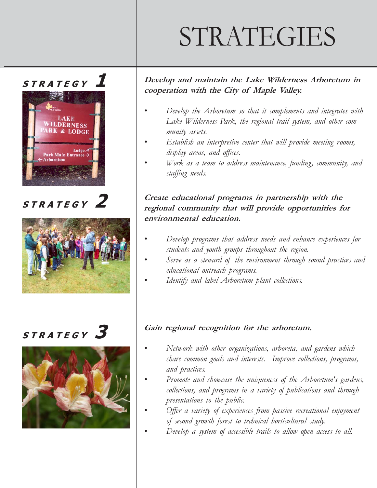# STRATEGIES

#### STRATEGY



 $STRATEGY$ <sup>2</sup>



### STRATEGY<sup>3</sup>



#### Develop and maintain the Lake Wilderness Arboretum in cooperation with the City of Maple Valley.

- Develop the Arboretum so that it complements and integrates with Lake Wilderness Park, the regional trail system, and other community assets.
- Establish an interpretive center that will provide meeting rooms, display areas, and offices.
- Work as a team to address maintenance, funding, community, and staffing needs.

#### Create educational programs in partnership with the regional community that will provide opportunities for environmental education.

- Develop programs that address needs and enhance experiences for students and youth groups throughout the region.
- Serve as a steward of the environment through sound practices and educational outreach programs.
- Identify and label Arboretum plant collections.

#### Gain regional recognition for the arboretum.

- Network with other organizations, arboreta, and gardens which share common goals and interests. Improve collections, programs, and practices.
- Promote and showcase the uniqueness of the Arboretum's gardens, collections, and programs in a variety of publications and through presentations to the public.
- Offer a variety of experiences from passive recreational enjoyment of second growth forest to technical horticultural study.
- Develop a system of accessible trails to allow open access to all.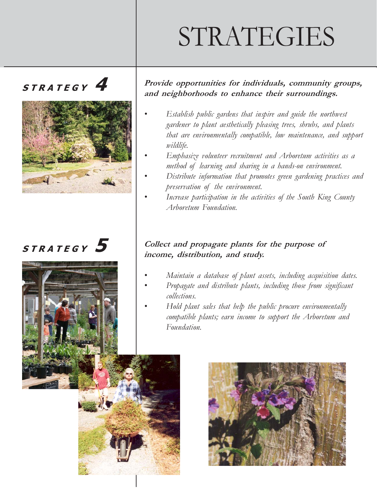# STRATEGIES

### $STRATEGY$ <sup>4</sup>



### $STRATEGY$ <sup>5</sup>



#### Provide opportunities for individuals, community groups, and neighborhoods to enhance their surroundings.

- Establish public gardens that inspire and guide the northwest gardener to plant aesthetically pleasing trees, shrubs, and plants that are environmentally compatible, low maintenance, and support wildlife.
- Emphasize volunteer recruitment and Arboretum activities as a method of learning and sharing in a hands-on environment.
- Distribute information that promotes green gardening practices and preservation of the environment.
- Increase participation in the activities of the South King County Arboretum Foundation.

#### Collect and propagate plants for the purpose of income, distribution, and study.

- Maintain a database of plant assets, including acquisition dates.
- Propagate and distribute plants, including those from significant collections.
- Hold plant sales that help the public procure environmentally compatible plants; earn income to support the Arboretum and Foundation.

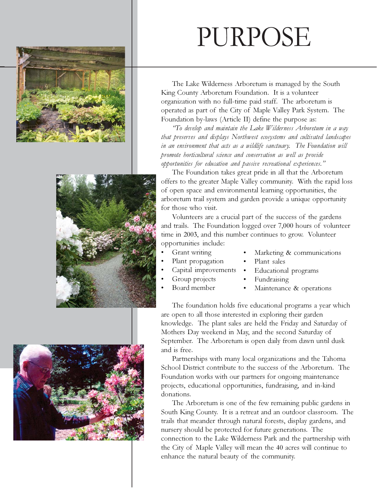





## PURPOSE

The Lake Wilderness Arboretum is managed by the South King County Arboretum Foundation. It is a volunteer organization with no full-time paid staff. The arboretum is operated as part of the City of Maple Valley Park System. The Foundation by-laws (Article II) define the purpose as:

"To develop and maintain the Lake Wilderness Arboretum in a way that preserves and displays Northwest ecosystems and cultivated landscapes in an environment that acts as a wildlife sanctuary. The Foundation will promote horticultural science and conservation as well as provide opportunities for education and passive recreational experiences."

The Foundation takes great pride in all that the Arboretum offers to the greater Maple Valley community. With the rapid loss of open space and environmental learning opportunities, the arboretum trail system and garden provide a unique opportunity for those who visit.

Volunteers are a crucial part of the success of the gardens and trails. The Foundation logged over 7,000 hours of volunteer time in 2003, and this number continues to grow. Volunteer opportunities include:

- Grant writing
- Plant propagation
- Capital improvements
- Group projects • Board member
- **Fundraising** Maintenance & operations

• Educational programs

Plant sales

Marketing & communications

The foundation holds five educational programs a year which are open to all those interested in exploring their garden knowledge. The plant sales are held the Friday and Saturday of Mothers Day weekend in May, and the second Saturday of September. The Arboretum is open daily from dawn until dusk and is free.

Partnerships with many local organizations and the Tahoma School District contribute to the success of the Arboretum. The Foundation works with our partners for ongoing maintenance projects, educational opportunities, fundraising, and in-kind donations.

The Arboretum is one of the few remaining public gardens in South King County. It is a retreat and an outdoor classroom. The trails that meander through natural forests, display gardens, and nursery should be protected for future generations. The connection to the Lake Wilderness Park and the partnership with the City of Maple Valley will mean the 40 acres will continue to enhance the natural beauty of the community.